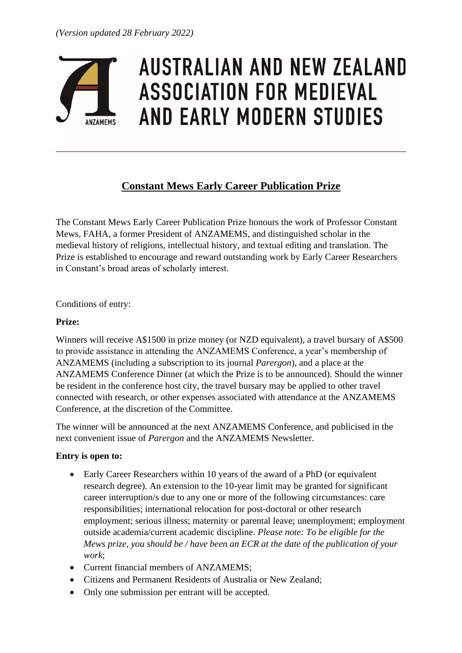

# **AUSTRALIAN AND NEW ZEALAND ASSOCIATION FOR MEDIEVAL AND EARLY MODERN STUDIES**

# **Constant Mews Early Career Publication Prize**

The Constant Mews Early Career Publication Prize honours the work of Professor Constant Mews, FAHA, a former President of ANZAMEMS, and distinguished scholar in the medieval history of religions, intellectual history, and textual editing and translation. The Prize is established to encourage and reward outstanding work by Early Career Researchers in Constant's broad areas of scholarly interest.

#### Conditions of entry:

#### **Prize:**

Winners will receive A\$1500 in prize money (or NZD equivalent), a travel bursary of A\$500 to provide assistance in attending the ANZAMEMS Conference, a year's membership of ANZAMEMS (including a subscription to its journal *Parergon*), and a place at the ANZAMEMS Conference Dinner (at which the Prize is to be announced). Should the winner be resident in the conference host city, the travel bursary may be applied to other travel connected with research, or other expenses associated with attendance at the ANZAMEMS Conference, at the discretion of the Committee.

The winner will be announced at the next ANZAMEMS Conference, and publicised in the next convenient issue of *Parergon* and the ANZAMEMS Newsletter.

### **Entry is open to:**

- Early Career Researchers within 10 years of the award of a PhD (or equivalent research degree). An extension to the 10-year limit may be granted for significant career interruption/s due to any one or more of the following circumstances: care responsibilities; international relocation for post-doctoral or other research employment; serious illness; maternity or parental leave; unemployment; employment outside academia/current academic discipline. *Please note: To be eligible for the Mews prize, you should be / have been an ECR at the date of the publication of your work*;
- Current financial members of ANZAMEMS:
- Citizens and Permanent Residents of Australia or New Zealand;
- Only one submission per entrant will be accepted.